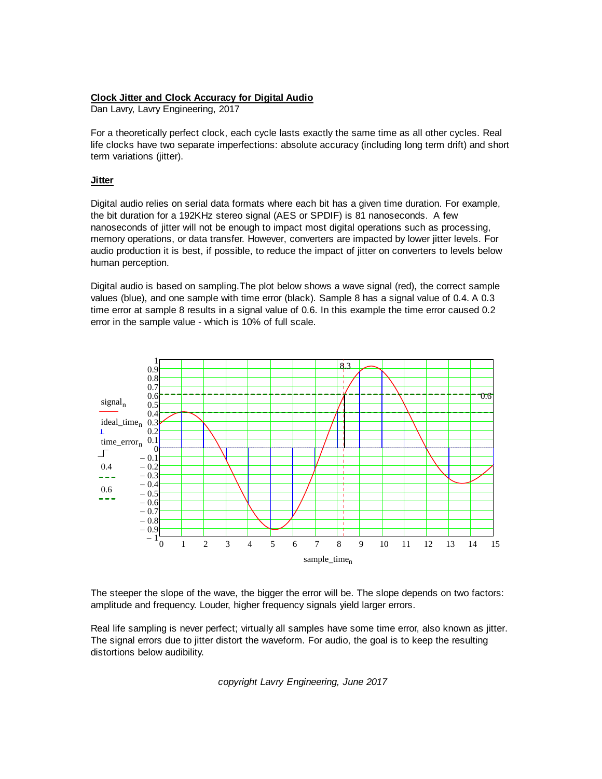## **Clock Jitter and Clock Accuracy for Digital Audio**

Dan Lavry, Lavry Engineering, 2017

For a theoretically perfect clock, each cycle lasts exactly the same time as all other cycles. Real life clocks have two separate imperfections: absolute accuracy (including long term drift) and short term variations (jitter).

## **Jitter**

Digital audio relies on serial data formats where each bit has a given time duration. For example, the bit duration for a 192KHz stereo signal (AES or SPDIF) is 81 nanoseconds. A few nanoseconds of jitter will not be enough to impact most digital operations such as processing, memory operations, or data transfer. However, converters are impacted by lower jitter levels. For audio production it is best, if possible, to reduce the impact of jitter on converters to levels below human perception.

Digital audio is based on sampling.The plot below shows a wave signal (red), the correct sample values (blue), and one sample with time error (black). Sample 8 has a signal value of 0.4. A 0.3 time error at sample 8 results in a signal value of 0.6. In this example the time error caused 0.2 error in the sample value - which is 10% of full scale.



The steeper the slope of the wave, the bigger the error will be. The slope depends on two factors: amplitude and frequency. Louder, higher frequency signals yield larger errors.

Real life sampling is never perfect; virtually all samples have some time error, also known as jitter. The signal errors due to jitter distort the waveform. For audio, the goal is to keep the resulting distortions below audibility.

*copyright Lavry Engineering, June 2017*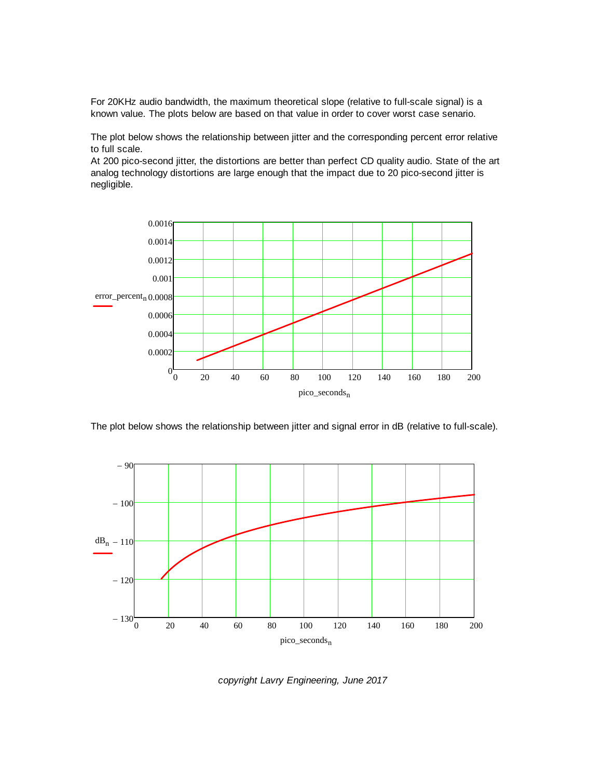For 20KHz audio bandwidth, the maximum theoretical slope (relative to full-scale signal) is a known value. The plots below are based on that value in order to cover worst case senario.

The plot below shows the relationship between jitter and the corresponding percent error relative to full scale.

At 200 pico-second jitter, the distortions are better than perfect CD quality audio. State of the art analog technology distortions are large enough that the impact due to 20 pico-second jitter is negligible.



The plot below shows the relationship between jitter and signal error in dB (relative to full-scale).



*copyright Lavry Engineering, June 2017*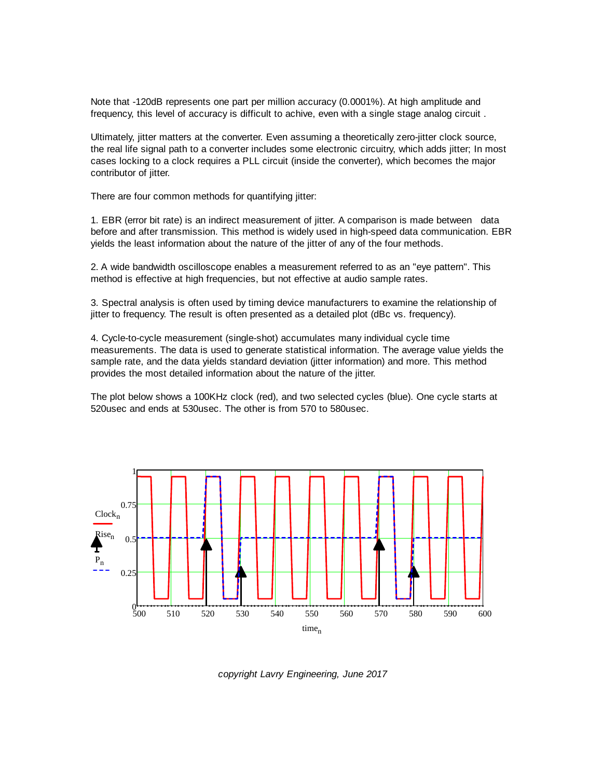Note that -120dB represents one part per million accuracy (0.0001%). At high amplitude and frequency, this level of accuracy is difficult to achive, even with a single stage analog circuit .

Ultimately, jitter matters at the converter. Even assuming a theoretically zero-jitter clock source, the real life signal path to a converter includes some electronic circuitry, which adds jitter; In most cases locking to a clock requires a PLL circuit (inside the converter), which becomes the major contributor of jitter.

There are four common methods for quantifying jitter:

1. EBR (error bit rate) is an indirect measurement of jitter. A comparison is made between data before and after transmission. This method is widely used in high-speed data communication. EBR yields the least information about the nature of the jitter of any of the four methods.

2. A wide bandwidth oscilloscope enables a measurement referred to as an "eye pattern". This method is effective at high frequencies, but not effective at audio sample rates.

3. Spectral analysis is often used by timing device manufacturers to examine the relationship of jitter to frequency. The result is often presented as a detailed plot (dBc vs. frequency).

4. Cycle-to-cycle measurement (single-shot) accumulates many individual cycle time measurements. The data is used to generate statistical information. The average value yields the sample rate, and the data yields standard deviation (jitter information) and more. This method provides the most detailed information about the nature of the jitter.

The plot below shows a 100KHz clock (red), and two selected cycles (blue). One cycle starts at 520usec and ends at 530usec. The other is from 570 to 580usec.



*copyright Lavry Engineering, June 2017*